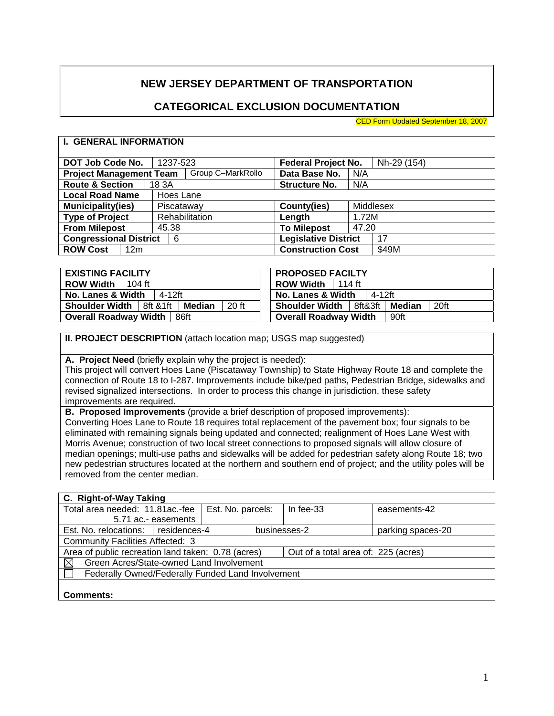# **NEW JERSEY DEPARTMENT OF TRANSPORTATION**

## **CATEGORICAL EXCLUSION DOCUMENTATION**

CED Form Updated September 18, 2007

#### **I. GENERAL INFORMATION**

| DOT Job Code No.                   | 1237-523          | <b>Federal Project No.</b>  | Nh-29 (154) |
|------------------------------------|-------------------|-----------------------------|-------------|
| <b>Project Management Team</b>     | Group C-MarkRollo | Data Base No.               | N/A         |
| <b>Route &amp; Section</b>         | 18 3A             | <b>Structure No.</b>        | N/A         |
| <b>Local Road Name</b>             | Hoes Lane         |                             |             |
| <b>Municipality(ies)</b>           | Piscataway        | County(ies)                 | Middlesex   |
| <b>Type of Project</b>             | Rehabilitation    | Length                      | 1.72M       |
| <b>From Milepost</b>               | 45.38             | <b>To Milepost</b>          | 47.20       |
| <b>Congressional District</b>      | 6                 | <b>Legislative District</b> | 17          |
| <b>ROW Cost</b><br>12 <sub>m</sub> |                   | <b>Construction Cost</b>    | \$49M       |
|                                    |                   |                             |             |

| <b>ROW Width</b><br><b>ROW Width</b><br>$104$ ft<br>114 ft                        |                   |      |
|-----------------------------------------------------------------------------------|-------------------|------|
|                                                                                   |                   |      |
| <b>No. Lanes &amp; Width</b><br>4-12ft<br>No. Lanes & Width                       | 4-12ft            |      |
| 20 ft<br><b>Shoulder Width   8ft &amp; 1ft</b><br><b>Shoulder Width</b><br>Median | 8ft&3ft<br>Median | 20ft |
| <b>Overall Roadway Width</b><br>86ft<br><b>Overall Roadway Width</b>              | 90ft              |      |

**II. PROJECT DESCRIPTION** (attach location map; USGS map suggested)

**A. Project Need** (briefly explain why the project is needed):

This project will convert Hoes Lane (Piscataway Township) to State Highway Route 18 and complete the connection of Route 18 to I-287. Improvements include bike/ped paths, Pedestrian Bridge, sidewalks and revised signalized intersections. In order to process this change in jurisdiction, these safety improvements are required.

**B. Proposed Improvements** (provide a brief description of proposed improvements):

Converting Hoes Lane to Route 18 requires total replacement of the pavement box; four signals to be eliminated with remaining signals being updated and connected; realignment of Hoes Lane West with Morris Avenue; construction of two local street connections to proposed signals will allow closure of median openings; multi-use paths and sidewalks will be added for pedestrian safety along Route 18; two new pedestrian structures located at the northern and southern end of project; and the utility poles will be removed from the center median.

#### **C. Right-of-Way Taking**  Total area needed: 11.81ac.-fee 5.71 ac.- easements Est. No. parcels: | In fee-33 easements-42 Est. No. relocations: residences-4 businesses-2 parking spaces-20 Community Facilities Affected: 3 Area of public recreation land taken: 0.78 (acres) | Out of a total area of: 225 (acres)  $\boxtimes$  Green Acres/State-owned Land Involvement Federally Owned/Federally Funded Land Involvement **Comments:**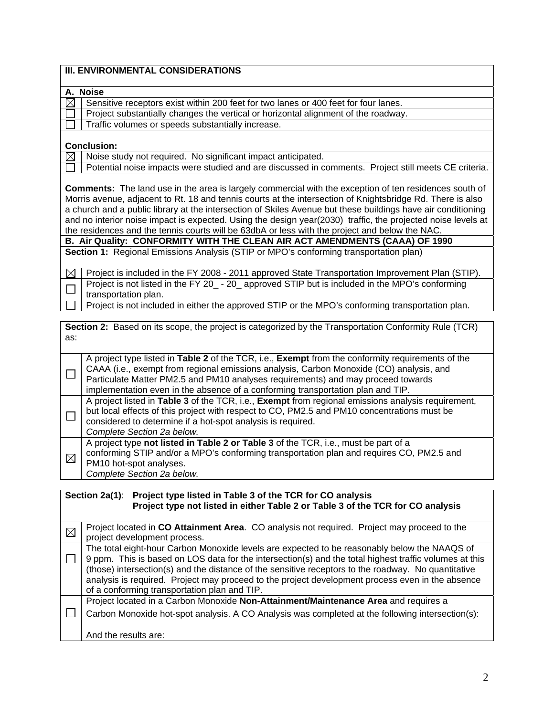| <b>III. ENVIRONMENTAL CONSIDERATIONS</b>                                                                        |
|-----------------------------------------------------------------------------------------------------------------|
|                                                                                                                 |
| A. Noise                                                                                                        |
| $\times$<br>Sensitive receptors exist within 200 feet for two lanes or 400 feet for four lanes.                 |
| Project substantially changes the vertical or horizontal alignment of the roadway.                              |
| Traffic volumes or speeds substantially increase.                                                               |
|                                                                                                                 |
| <b>Conclusion:</b>                                                                                              |
| Noise study not required. No significant impact anticipated.<br>$\boxtimes$                                     |
| Potential noise impacts were studied and are discussed in comments. Project still meets CE criteria.            |
|                                                                                                                 |
| <b>Comments:</b> The land use in the area is largely commercial with the exception of ten residences south of   |
| Morris avenue, adjacent to Rt. 18 and tennis courts at the intersection of Knightsbridge Rd. There is also      |
| a church and a public library at the intersection of Skiles Avenue but these buildings have air conditioning    |
| and no interior noise impact is expected. Using the design year(2030) traffic, the projected noise levels at    |
| the residences and the tennis courts will be 63dbA or less with the project and below the NAC.                  |
| B. Air Quality: CONFORMITY WITH THE CLEAN AIR ACT AMENDMENTS (CAAA) OF 1990                                     |
| Section 1: Regional Emissions Analysis (STIP or MPO's conforming transportation plan)                           |
|                                                                                                                 |
| Project is included in the FY 2008 - 2011 approved State Transportation Improvement Plan (STIP).<br>$\boxtimes$ |
| Project is not listed in the FY 20_ - 20_ approved STIP but is included in the MPO's conforming                 |
| transportation plan.                                                                                            |
| Project is not included in either the approved STIP or the MPO's conforming transportation plan.                |
|                                                                                                                 |

| as:         | <b>Section 2:</b> Based on its scope, the project is categorized by the Transportation Conformity Rule (TCR)                                                                                                                                                                                                                                                        |
|-------------|---------------------------------------------------------------------------------------------------------------------------------------------------------------------------------------------------------------------------------------------------------------------------------------------------------------------------------------------------------------------|
|             | A project type listed in Table 2 of the TCR, i.e., Exempt from the conformity requirements of the<br>CAAA (i.e., exempt from regional emissions analysis, Carbon Monoxide (CO) analysis, and<br>Particulate Matter PM2.5 and PM10 analyses requirements) and may proceed towards<br>implementation even in the absence of a conforming transportation plan and TIP. |
|             | A project listed in Table 3 of the TCR, i.e., Exempt from regional emissions analysis requirement,<br>but local effects of this project with respect to CO, PM2.5 and PM10 concentrations must be<br>considered to determine if a hot-spot analysis is required.<br>Complete Section 2a below.                                                                      |
| $\boxtimes$ | A project type not listed in Table 2 or Table 3 of the TCR, i.e., must be part of a<br>conforming STIP and/or a MPO's conforming transportation plan and requires CO, PM2.5 and<br>PM10 hot-spot analyses.<br>Complete Section 2a below.                                                                                                                            |

|             | Project type listed in Table 3 of the TCR for CO analysis<br>Section 2a(1):<br>Project type not listed in either Table 2 or Table 3 of the TCR for CO analysis                                                                                                                                                                                                                                                                                                    |
|-------------|-------------------------------------------------------------------------------------------------------------------------------------------------------------------------------------------------------------------------------------------------------------------------------------------------------------------------------------------------------------------------------------------------------------------------------------------------------------------|
| $\boxtimes$ | Project located in CO Attainment Area. CO analysis not required. Project may proceed to the                                                                                                                                                                                                                                                                                                                                                                       |
|             | project development process.                                                                                                                                                                                                                                                                                                                                                                                                                                      |
|             | The total eight-hour Carbon Monoxide levels are expected to be reasonably below the NAAQS of<br>9 ppm. This is based on LOS data for the intersection(s) and the total highest traffic volumes at this<br>(those) intersection(s) and the distance of the sensitive receptors to the roadway. No quantitative<br>analysis is required. Project may proceed to the project development process even in the absence<br>of a conforming transportation plan and TIP. |
|             | Project located in a Carbon Monoxide Non-Attainment/Maintenance Area and requires a                                                                                                                                                                                                                                                                                                                                                                               |
|             | Carbon Monoxide hot-spot analysis. A CO Analysis was completed at the following intersection(s):                                                                                                                                                                                                                                                                                                                                                                  |
|             | And the results are:                                                                                                                                                                                                                                                                                                                                                                                                                                              |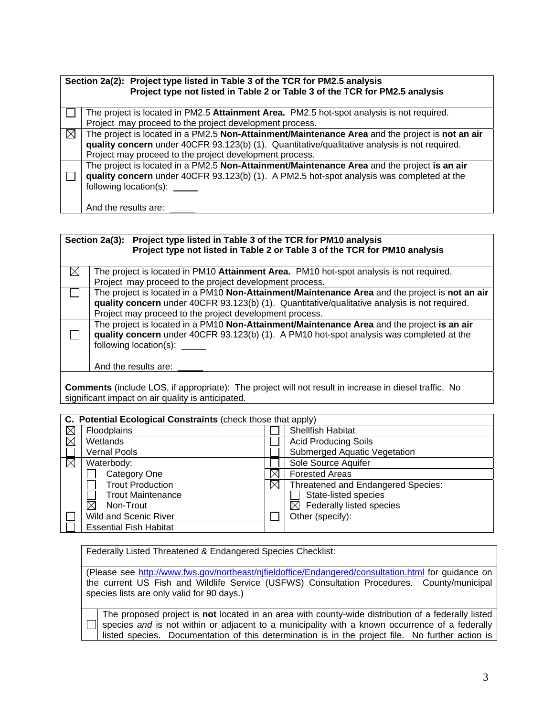|           | Section 2a(2): Project type listed in Table 3 of the TCR for PM2.5 analysis<br>Project type not listed in Table 2 or Table 3 of the TCR for PM2.5 analysis                                                                                                  |
|-----------|-------------------------------------------------------------------------------------------------------------------------------------------------------------------------------------------------------------------------------------------------------------|
|           | The project is located in PM2.5 Attainment Area. PM2.5 hot-spot analysis is not required.                                                                                                                                                                   |
|           | Project may proceed to the project development process.                                                                                                                                                                                                     |
| $\bowtie$ | The project is located in a PM2.5 Non-Attainment/Maintenance Area and the project is not an air<br>quality concern under 40CFR 93.123(b) (1). Quantitative/qualitative analysis is not required.<br>Project may proceed to the project development process. |
|           | The project is located in a PM2.5 Non-Attainment/Maintenance Area and the project is an air<br>quality concern under 40CFR 93.123(b) (1). A PM2.5 hot-spot analysis was completed at the<br>following location(s):                                          |
|           | And the results are:                                                                                                                                                                                                                                        |

|           | Section 2a(3): | Project type listed in Table 3 of the TCR for PM10 analysis<br>Project type not listed in Table 2 or Table 3 of the TCR for PM10 analysis                                                                        |
|-----------|----------------|------------------------------------------------------------------------------------------------------------------------------------------------------------------------------------------------------------------|
| $\bowtie$ |                | The project is located in PM10 Attainment Area. PM10 hot-spot analysis is not required.                                                                                                                          |
|           |                | Project may proceed to the project development process.                                                                                                                                                          |
|           |                | The project is located in a PM10 Non-Attainment/Maintenance Area and the project is not an air                                                                                                                   |
|           |                | quality concern under 40CFR 93.123(b) (1). Quantitative/qualitative analysis is not required.                                                                                                                    |
|           |                | Project may proceed to the project development process.                                                                                                                                                          |
|           |                | The project is located in a PM10 Non-Attainment/Maintenance Area and the project is an air<br>quality concern under 40CFR 93.123(b) (1). A PM10 hot-spot analysis was completed at the<br>following location(s): |
|           |                | And the results are:                                                                                                                                                                                             |
|           |                | Commonts (include LOS if appropriate): The project will not recult in increase in diosel traffic. No                                                                                                             |

**Comments** (include LOS, if appropriate): The project will not result in increase in diesel traffic. No significant impact on air quality is anticipated.

|             | C. Potential Ecological Constraints (check those that apply) |             |                                           |  |  |
|-------------|--------------------------------------------------------------|-------------|-------------------------------------------|--|--|
| $\boxtimes$ | Floodplains                                                  |             | Shellfish Habitat                         |  |  |
| $\boxtimes$ | Wetlands                                                     |             | <b>Acid Producing Soils</b>               |  |  |
|             | <b>Vernal Pools</b>                                          |             | Submerged Aquatic Vegetation              |  |  |
| ⊠           | Waterbody:                                                   |             | Sole Source Aquifer                       |  |  |
|             | Category One                                                 |             | <b>Forested Areas</b>                     |  |  |
|             | <b>Trout Production</b>                                      | $\boxtimes$ | <b>Threatened and Endangered Species:</b> |  |  |
|             | <b>Trout Maintenance</b>                                     |             | State-listed species                      |  |  |
|             | Non-Trout                                                    |             | Federally listed species                  |  |  |
|             | <b>Wild and Scenic River</b>                                 |             | Other (specify):                          |  |  |
|             | <b>Essential Fish Habitat</b>                                |             |                                           |  |  |

Federally Listed Threatened & Endangered Species Checklist:

(Please see http://www.fws.gov/northeast/njfieldoffice/Endangered/consultation.html for guidance on the current US Fish and Wildlife Service (USFWS) Consultation Procedures. County/municipal species lists are only valid for 90 days.)

The proposed project is **not** located in an area with county-wide distribution of a federally listed  $\Box$ species *and* is not within or adjacent to a municipality with a known occurrence of a federally listed species. Documentation of this determination is in the project file. No further action is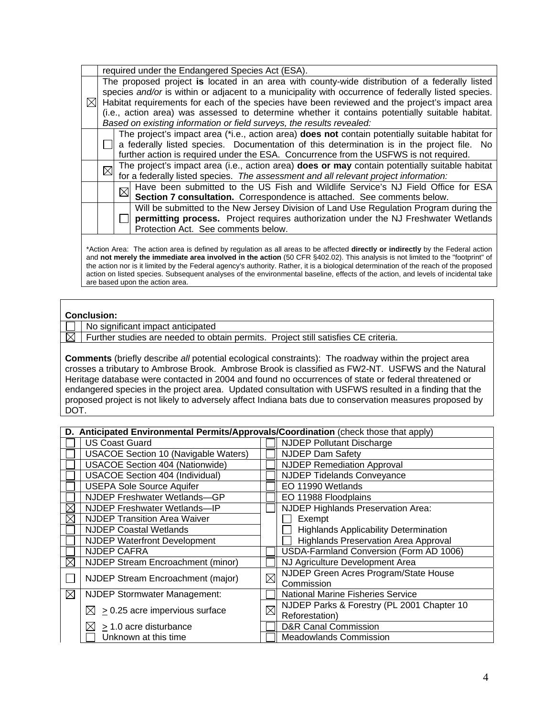|                                     | required under the Endangered Species Act (ESA).                                                        |  |  |  |
|-------------------------------------|---------------------------------------------------------------------------------------------------------|--|--|--|
|                                     | The proposed project is located in an area with county-wide distribution of a federally listed          |  |  |  |
|                                     | species and/or is within or adjacent to a municipality with occurrence of federally listed species.     |  |  |  |
| $\bowtie$ l                         | Habitat requirements for each of the species have been reviewed and the project's impact area           |  |  |  |
|                                     | (i.e., action area) was assessed to determine whether it contains potentially suitable habitat.         |  |  |  |
|                                     | Based on existing information or field surveys, the results revealed:                                   |  |  |  |
|                                     | The project's impact area (*i.e., action area) <b>does not</b> contain potentially suitable habitat for |  |  |  |
|                                     | $\Box$ a federally listed species. Documentation of this determination is in the project file. No       |  |  |  |
|                                     | further action is required under the ESA. Concurrence from the USFWS is not required.                   |  |  |  |
| $\boxtimes$                         | The project's impact area (i.e., action area) does or may contain potentially suitable habitat          |  |  |  |
|                                     | for a federally listed species. The assessment and all relevant project information:                    |  |  |  |
|                                     | Have been submitted to the US Fish and Wildlife Service's NJ Field Office for ESA                       |  |  |  |
|                                     | Section 7 consultation. Correspondence is attached. See comments below.                                 |  |  |  |
|                                     | Will be submitted to the New Jersey Division of Land Use Regulation Program during the                  |  |  |  |
|                                     | permitting process. Project requires authorization under the NJ Freshwater Wetlands                     |  |  |  |
| Protection Act. See comments below. |                                                                                                         |  |  |  |

\*Action Area: The action area is defined by regulation as all areas to be affected **directly or indirectly** by the Federal action and **not merely the immediate area involved in the action** (50 CFR §402.02). This analysis is not limited to the "footprint" of the action nor is it limited by the Federal agency's authority. Rather, it is a biological determination of the reach of the proposed action on listed species. Subsequent analyses of the environmental baseline, effects of the action, and levels of incidental take are based upon the action area.

### **Conclusion:**

No significant impact anticipated

 $\boxtimes$  | Further studies are needed to obtain permits. Project still satisfies CE criteria.

**Comments** (briefly describe *all* potential ecological constraints):The roadway within the project area crosses a tributary to Ambrose Brook. Ambrose Brook is classified as FW2-NT. USFWS and the Natural Heritage database were contacted in 2004 and found no occurrences of state or federal threatened or endangered species in the project area. Updated consultation with USFWS resulted in a finding that the proposed project is not likely to adversely affect Indiana bats due to conservation measures proposed by DOT.

|             | D. Anticipated Environmental Permits/Approvals/Coordination (check those that apply) |             |                                              |
|-------------|--------------------------------------------------------------------------------------|-------------|----------------------------------------------|
|             | <b>US Coast Guard</b>                                                                |             | <b>NJDEP Pollutant Discharge</b>             |
|             | <b>USACOE Section 10 (Navigable Waters)</b>                                          |             | <b>NJDEP Dam Safety</b>                      |
|             | <b>USACOE Section 404 (Nationwide)</b>                                               |             | <b>NJDEP Remediation Approval</b>            |
|             | <b>USACOE Section 404 (Individual)</b>                                               |             | <b>NJDEP Tidelands Conveyance</b>            |
|             | <b>USEPA Sole Source Aquifer</b>                                                     |             | EO 11990 Wetlands                            |
|             | NJDEP Freshwater Wetlands-GP                                                         |             | EO 11988 Floodplains                         |
| ⋉           | NJDEP Freshwater Wetlands-IP                                                         |             | NJDEP Highlands Preservation Area:           |
| Х           | <b>NJDEP Transition Area Waiver</b>                                                  |             | Exempt                                       |
|             | <b>NJDEP Coastal Wetlands</b>                                                        |             | <b>Highlands Applicability Determination</b> |
|             | <b>NJDEP Waterfront Development</b>                                                  |             | <b>Highlands Preservation Area Approval</b>  |
|             | <b>NJDEP CAFRA</b>                                                                   |             | USDA-Farmland Conversion (Form AD 1006)      |
| $\boxtimes$ | NJDEP Stream Encroachment (minor)                                                    |             | NJ Agriculture Development Area              |
|             | NJDEP Stream Encroachment (major)                                                    | $\boxtimes$ | NJDEP Green Acres Program/State House        |
|             |                                                                                      |             | Commission                                   |
| $\boxtimes$ | <b>NJDEP Stormwater Management:</b>                                                  |             | National Marine Fisheries Service            |
|             | $\boxtimes$ > 0.25 acre impervious surface                                           | $\boxtimes$ | NJDEP Parks & Forestry (PL 2001 Chapter 10   |
|             |                                                                                      |             | Reforestation)                               |
|             | $\geq$ 1.0 acre disturbance                                                          |             | <b>D&amp;R Canal Commission</b>              |
|             | Unknown at this time                                                                 |             | <b>Meadowlands Commission</b>                |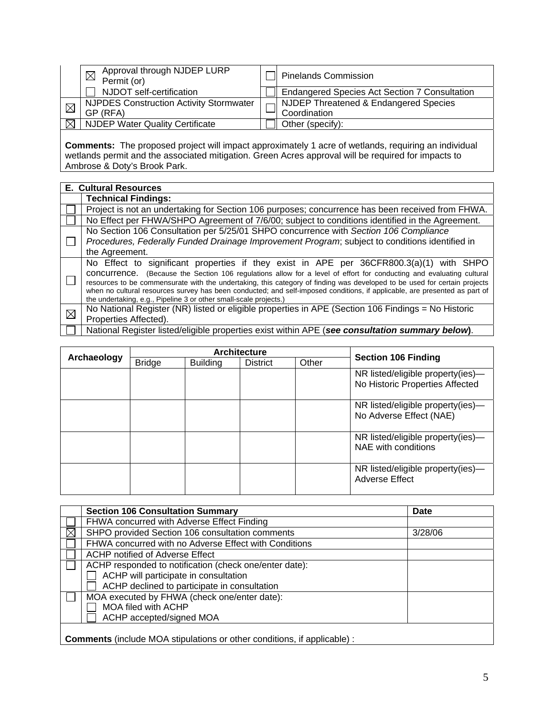| Approval through NJDEP LURP<br>Permit (or)     | <b>Pinelands Commission</b>                          |
|------------------------------------------------|------------------------------------------------------|
| NJDOT self-certification                       | <b>Endangered Species Act Section 7 Consultation</b> |
| <b>NJPDES Construction Activity Stormwater</b> | ┌ NJDEP Threatened & Endangered Species              |
| GP (RFA)                                       | Coordination                                         |
| <b>NJDEP Water Quality Certificate</b>         | Other (specify):                                     |

**Comments:** The proposed project will impact approximately 1 acre of wetlands, requiring an individual wetlands permit and the associated mitigation. Green Acres approval will be required for impacts to Ambrose & Doty's Brook Park.

|             | <b>E. Cultural Resources</b>                                                                                                                                                                                                                                                                                                                                                                                                                                                                                                                    |
|-------------|-------------------------------------------------------------------------------------------------------------------------------------------------------------------------------------------------------------------------------------------------------------------------------------------------------------------------------------------------------------------------------------------------------------------------------------------------------------------------------------------------------------------------------------------------|
|             | <b>Technical Findings:</b>                                                                                                                                                                                                                                                                                                                                                                                                                                                                                                                      |
|             | Project is not an undertaking for Section 106 purposes; concurrence has been received from FHWA.                                                                                                                                                                                                                                                                                                                                                                                                                                                |
|             | No Effect per FHWA/SHPO Agreement of 7/6/00; subject to conditions identified in the Agreement.                                                                                                                                                                                                                                                                                                                                                                                                                                                 |
|             | No Section 106 Consultation per 5/25/01 SHPO concurrence with Section 106 Compliance<br>Procedures, Federally Funded Drainage Improvement Program; subject to conditions identified in<br>the Agreement.                                                                                                                                                                                                                                                                                                                                        |
|             | No Effect to significant properties if they exist in APE per 36CFR800.3(a)(1) with SHPO<br>concurrence. (Because the Section 106 regulations allow for a level of effort for conducting and evaluating cultural<br>resources to be commensurate with the undertaking, this category of finding was developed to be used for certain projects<br>when no cultural resources survey has been conducted; and self-imposed conditions, if applicable, are presented as part of<br>the undertaking, e.g., Pipeline 3 or other small-scale projects.) |
| $\boxtimes$ | No National Register (NR) listed or eligible properties in APE (Section 106 Findings = No Historic<br>Properties Affected).                                                                                                                                                                                                                                                                                                                                                                                                                     |
|             | National Register listed/eligible properties exist within APE (see consultation summary below).                                                                                                                                                                                                                                                                                                                                                                                                                                                 |

|             | <b>Architecture</b> |                 |                 |       |                                                                      |
|-------------|---------------------|-----------------|-----------------|-------|----------------------------------------------------------------------|
| Archaeology | <b>Bridge</b>       | <b>Building</b> | <b>District</b> | Other | <b>Section 106 Finding</b>                                           |
|             |                     |                 |                 |       | NR listed/eligible property(ies)-<br>No Historic Properties Affected |
|             |                     |                 |                 |       | NR listed/eligible property(ies)-<br>No Adverse Effect (NAE)         |
|             |                     |                 |                 |       | NR listed/eligible property(ies)-<br>NAE with conditions             |
|             |                     |                 |                 |       | NR listed/eligible property(ies)-<br><b>Adverse Effect</b>           |

|                                                                                 | <b>Section 106 Consultation Summary</b>                | Date    |  |
|---------------------------------------------------------------------------------|--------------------------------------------------------|---------|--|
|                                                                                 | FHWA concurred with Adverse Effect Finding             |         |  |
|                                                                                 | SHPO provided Section 106 consultation comments        | 3/28/06 |  |
|                                                                                 | FHWA concurred with no Adverse Effect with Conditions  |         |  |
|                                                                                 | ACHP notified of Adverse Effect                        |         |  |
|                                                                                 | ACHP responded to notification (check one/enter date): |         |  |
|                                                                                 | ACHP will participate in consultation                  |         |  |
|                                                                                 | ACHP declined to participate in consultation           |         |  |
|                                                                                 | MOA executed by FHWA (check one/enter date):           |         |  |
|                                                                                 | MOA filed with ACHP                                    |         |  |
|                                                                                 | ACHP accepted/signed MOA                               |         |  |
| <b>Comments</b> (include MOA stipulations or other conditions, if applicable) : |                                                        |         |  |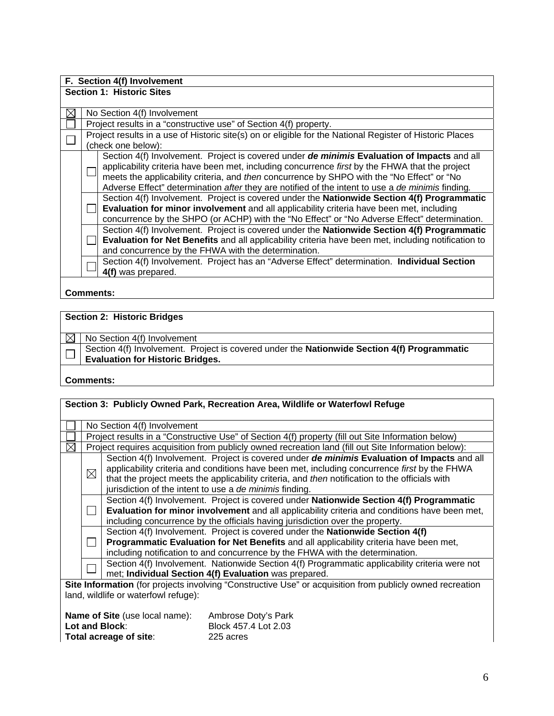| F. Section 4(f) Involvement      |                             |                                                                                                          |  |  |  |  |  |
|----------------------------------|-----------------------------|----------------------------------------------------------------------------------------------------------|--|--|--|--|--|
| <b>Section 1: Historic Sites</b> |                             |                                                                                                          |  |  |  |  |  |
|                                  |                             |                                                                                                          |  |  |  |  |  |
|                                  | No Section 4(f) Involvement |                                                                                                          |  |  |  |  |  |
|                                  |                             | Project results in a "constructive use" of Section 4(f) property.                                        |  |  |  |  |  |
|                                  |                             | Project results in a use of Historic site(s) on or eligible for the National Register of Historic Places |  |  |  |  |  |
|                                  |                             | (check one below):                                                                                       |  |  |  |  |  |
|                                  |                             | Section 4(f) Involvement. Project is covered under de minimis Evaluation of Impacts and all              |  |  |  |  |  |
|                                  |                             | applicability criteria have been met, including concurrence first by the FHWA that the project           |  |  |  |  |  |
|                                  |                             | meets the applicability criteria, and then concurrence by SHPO with the "No Effect" or "No               |  |  |  |  |  |
|                                  |                             | Adverse Effect" determination after they are notified of the intent to use a de minimis finding.         |  |  |  |  |  |
|                                  |                             | Section 4(f) Involvement. Project is covered under the Nationwide Section 4(f) Programmatic              |  |  |  |  |  |
|                                  |                             | Evaluation for minor involvement and all applicability criteria have been met, including                 |  |  |  |  |  |
|                                  |                             | concurrence by the SHPO (or ACHP) with the "No Effect" or "No Adverse Effect" determination.             |  |  |  |  |  |
|                                  |                             | Section 4(f) Involvement. Project is covered under the Nationwide Section 4(f) Programmatic              |  |  |  |  |  |
|                                  |                             | Evaluation for Net Benefits and all applicability criteria have been met, including notification to      |  |  |  |  |  |
|                                  |                             | and concurrence by the FHWA with the determination.                                                      |  |  |  |  |  |
|                                  |                             | Section 4(f) Involvement. Project has an "Adverse Effect" determination. Individual Section              |  |  |  |  |  |
|                                  |                             | 4(f) was prepared.                                                                                       |  |  |  |  |  |
|                                  |                             |                                                                                                          |  |  |  |  |  |

## **Comments:**

# **Section 2: Historic Bridges**

|  | $\boxed{\boxtimes}$ No Section 4(f) Involvement                                                                                 |  |  |
|--|---------------------------------------------------------------------------------------------------------------------------------|--|--|
|  | Section 4(f) Involvement. Project is covered under the Nationwide Section 4(f) Programmatic<br>Evaluation for Historic Bridges. |  |  |
|  |                                                                                                                                 |  |  |
|  |                                                                                                                                 |  |  |

### **Comments:**

| Section 3: Publicly Owned Park, Recreation Area, Wildlife or Waterfowl Refuge |                                                                                                                                                                                                                                                                           |                                                                                                                                                                                                                                                                                                                                                          |  |  |  |  |
|-------------------------------------------------------------------------------|---------------------------------------------------------------------------------------------------------------------------------------------------------------------------------------------------------------------------------------------------------------------------|----------------------------------------------------------------------------------------------------------------------------------------------------------------------------------------------------------------------------------------------------------------------------------------------------------------------------------------------------------|--|--|--|--|
|                                                                               | No Section 4(f) Involvement                                                                                                                                                                                                                                               |                                                                                                                                                                                                                                                                                                                                                          |  |  |  |  |
|                                                                               |                                                                                                                                                                                                                                                                           | Project results in a "Constructive Use" of Section 4(f) property (fill out Site Information below)                                                                                                                                                                                                                                                       |  |  |  |  |
|                                                                               |                                                                                                                                                                                                                                                                           | Project requires acquisition from publicly owned recreation land (fill out Site Information below):                                                                                                                                                                                                                                                      |  |  |  |  |
|                                                                               | $\boxtimes$                                                                                                                                                                                                                                                               | Section 4(f) Involvement. Project is covered under de minimis Evaluation of Impacts and all<br>applicability criteria and conditions have been met, including concurrence first by the FHWA<br>that the project meets the applicability criteria, and then notification to the officials with<br>jurisdiction of the intent to use a de minimis finding. |  |  |  |  |
|                                                                               | Section 4(f) Involvement. Project is covered under Nationwide Section 4(f) Programmatic<br>Evaluation for minor involvement and all applicability criteria and conditions have been met,<br>including concurrence by the officials having jurisdiction over the property. |                                                                                                                                                                                                                                                                                                                                                          |  |  |  |  |
|                                                                               | Section 4(f) Involvement. Project is covered under the Nationwide Section 4(f)<br>Programmatic Evaluation for Net Benefits and all applicability criteria have been met,<br>including notification to and concurrence by the FHWA with the determination.                 |                                                                                                                                                                                                                                                                                                                                                          |  |  |  |  |
|                                                                               |                                                                                                                                                                                                                                                                           | Section 4(f) Involvement. Nationwide Section 4(f) Programmatic applicability criteria were not<br>met; Individual Section 4(f) Evaluation was prepared.                                                                                                                                                                                                  |  |  |  |  |
|                                                                               |                                                                                                                                                                                                                                                                           | Site Information (for projects involving "Constructive Use" or acquisition from publicly owned recreation<br>land, wildlife or waterfowl refuge):                                                                                                                                                                                                        |  |  |  |  |

| <b>Name of Site (use local name):</b> | Ambrose Doty's Park  |
|---------------------------------------|----------------------|
| Lot and Block:                        | Block 457.4 Lot 2.03 |
| Total acreage of site:                | 225 acres            |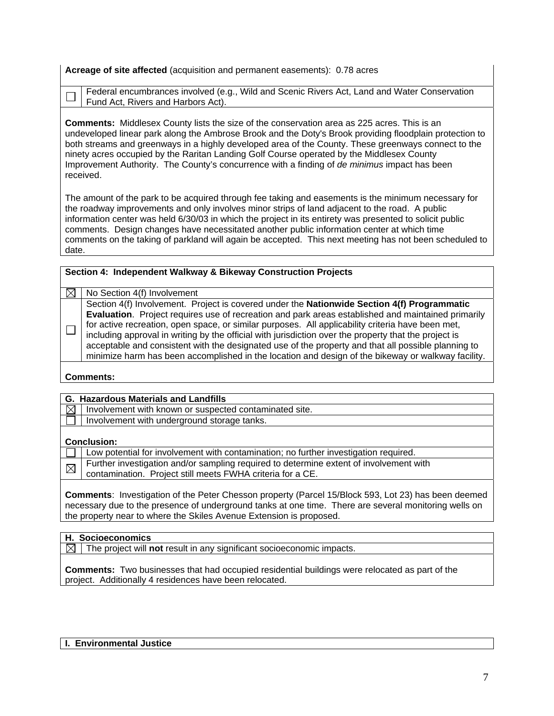**Acreage of site affected** (acquisition and permanent easements): 0.78 acres

**Section 4: Independent Walkway & Bikeway Construction Projects** 

Federal encumbrances involved (e.g., Wild and Scenic Rivers Act, Land and Water Conservation Fund Act, Rivers and Harbors Act).

**Comments:** Middlesex County lists the size of the conservation area as 225 acres. This is an undeveloped linear park along the Ambrose Brook and the Doty's Brook providing floodplain protection to both streams and greenways in a highly developed area of the County. These greenways connect to the ninety acres occupied by the Raritan Landing Golf Course operated by the Middlesex County Improvement Authority. The County's concurrence with a finding of *de minimus* impact has been received.

The amount of the park to be acquired through fee taking and easements is the minimum necessary for the roadway improvements and only involves minor strips of land adjacent to the road. A public information center was held 6/30/03 in which the project in its entirety was presented to solicit public comments. Design changes have necessitated another public information center at which time comments on the taking of parkland will again be accepted. This next meeting has not been scheduled to date.

| No Section 4(f) Involvement                                                                                                                                                                                                                                                                                                                                                                                                                                                                                                                                                                                                         |
|-------------------------------------------------------------------------------------------------------------------------------------------------------------------------------------------------------------------------------------------------------------------------------------------------------------------------------------------------------------------------------------------------------------------------------------------------------------------------------------------------------------------------------------------------------------------------------------------------------------------------------------|
| Section 4(f) Involvement. Project is covered under the <b>Nationwide Section 4(f) Programmatic</b><br>Evaluation. Project requires use of recreation and park areas established and maintained primarily<br>for active recreation, open space, or similar purposes. All applicability criteria have been met,<br>including approval in writing by the official with jurisdiction over the property that the project is<br>acceptable and consistent with the designated use of the property and that all possible planning to<br>minimize harm has been accomplished in the location and design of the bikeway or walkway facility. |
|                                                                                                                                                                                                                                                                                                                                                                                                                                                                                                                                                                                                                                     |

### **Comments:**

 $\Box$ 

|                    | <b>G. Hazardous Materials and Landfills</b>                                                                                                          |  |  |
|--------------------|------------------------------------------------------------------------------------------------------------------------------------------------------|--|--|
| ⊠                  | Involvement with known or suspected contaminated site.                                                                                               |  |  |
|                    | Involvement with underground storage tanks.                                                                                                          |  |  |
| <b>Conclusion:</b> |                                                                                                                                                      |  |  |
|                    | Low potential for involvement with contamination; no further investigation required.                                                                 |  |  |
| $\boxtimes$        | Further investigation and/or sampling required to determine extent of involvement with<br>contamination. Project still meets FWHA criteria for a CE. |  |  |
|                    |                                                                                                                                                      |  |  |

**Comments**: Investigation of the Peter Chesson property (Parcel 15/Block 593, Lot 23) has been deemed necessary due to the presence of underground tanks at one time. There are several monitoring wells on the property near to where the Skiles Avenue Extension is proposed.

### **H. Socioeconomics**

 $\boxtimes$  | The project will **not** result in any significant socioeconomic impacts.

**Comments:** Two businesses that had occupied residential buildings were relocated as part of the project. Additionally 4 residences have been relocated.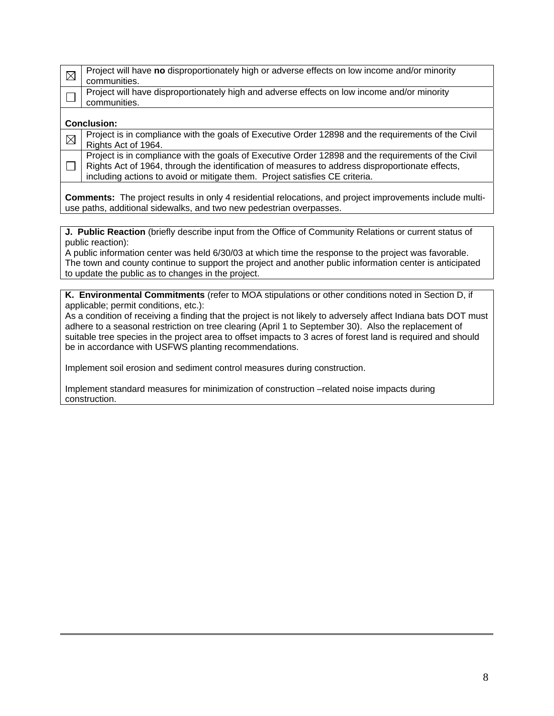| $\boxtimes$ | Project will have no disproportionately high or adverse effects on low income and/or minority      |  |  |  |
|-------------|----------------------------------------------------------------------------------------------------|--|--|--|
|             | communities.                                                                                       |  |  |  |
|             |                                                                                                    |  |  |  |
|             | Project will have disproportionately high and adverse effects on low income and/or minority        |  |  |  |
|             | communities.                                                                                       |  |  |  |
|             |                                                                                                    |  |  |  |
|             | <b>Conclusion:</b>                                                                                 |  |  |  |
|             | Project is in compliance with the goals of Executive Order 12898 and the requirements of the Civil |  |  |  |
| $\boxtimes$ | Rights Act of 1964.                                                                                |  |  |  |
|             |                                                                                                    |  |  |  |
|             | Project is in compliance with the goals of Executive Order 12898 and the requirements of the Civil |  |  |  |
|             | Rights Act of 1964, through the identification of measures to address disproportionate effects,    |  |  |  |
|             |                                                                                                    |  |  |  |
|             | including actions to avoid or mitigate them. Project satisfies CE criteria.                        |  |  |  |
|             |                                                                                                    |  |  |  |

**Comments:** The project results in only 4 residential relocations, and project improvements include multiuse paths, additional sidewalks, and two new pedestrian overpasses.

**J. Public Reaction** (briefly describe input from the Office of Community Relations or current status of public reaction):

A public information center was held 6/30/03 at which time the response to the project was favorable. The town and county continue to support the project and another public information center is anticipated to update the public as to changes in the project.

**K. Environmental Commitments** (refer to MOA stipulations or other conditions noted in Section D, if applicable; permit conditions, etc.):

As a condition of receiving a finding that the project is not likely to adversely affect Indiana bats DOT must adhere to a seasonal restriction on tree clearing (April 1 to September 30). Also the replacement of suitable tree species in the project area to offset impacts to 3 acres of forest land is required and should be in accordance with USFWS planting recommendations.

Implement soil erosion and sediment control measures during construction.

Implement standard measures for minimization of construction –related noise impacts during construction.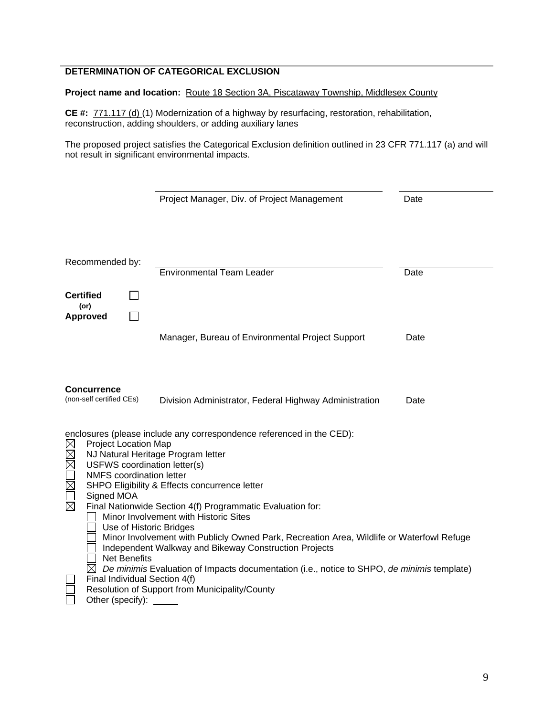## **DETERMINATION OF CATEGORICAL EXCLUSION**

Project name and location: Route 18 Section 3A, Piscataway Township, Middlesex County

**CE #:** 771.117 (d) (1) Modernization of a highway by resurfacing, restoration, rehabilitation, reconstruction, adding shoulders, or adding auxiliary lanes

The proposed project satisfies the Categorical Exclusion definition outlined in 23 CFR 771.117 (a) and will not result in significant environmental impacts.

|                                                                                                                                                                                                                                                                                                                                                                                                                                                                                                                                                                                                                                                                                                                                                                                                     |  | Project Manager, Div. of Project Management      | Date |  |
|-----------------------------------------------------------------------------------------------------------------------------------------------------------------------------------------------------------------------------------------------------------------------------------------------------------------------------------------------------------------------------------------------------------------------------------------------------------------------------------------------------------------------------------------------------------------------------------------------------------------------------------------------------------------------------------------------------------------------------------------------------------------------------------------------------|--|--------------------------------------------------|------|--|
| Recommended by:                                                                                                                                                                                                                                                                                                                                                                                                                                                                                                                                                                                                                                                                                                                                                                                     |  | <b>Environmental Team Leader</b>                 | Date |  |
| <b>Certified</b><br>$($ or $)$<br><b>Approved</b>                                                                                                                                                                                                                                                                                                                                                                                                                                                                                                                                                                                                                                                                                                                                                   |  |                                                  |      |  |
|                                                                                                                                                                                                                                                                                                                                                                                                                                                                                                                                                                                                                                                                                                                                                                                                     |  | Manager, Bureau of Environmental Project Support | Date |  |
| <b>Concurrence</b><br>(non-self certified CEs)<br>Division Administrator, Federal Highway Administration<br>Date                                                                                                                                                                                                                                                                                                                                                                                                                                                                                                                                                                                                                                                                                    |  |                                                  |      |  |
| enclosures (please include any correspondence referenced in the CED):<br><b>Project Location Map</b><br><u> DKI RK</u><br>NJ Natural Heritage Program letter<br>USFWS coordination letter(s)<br><b>NMFS</b> coordination letter<br>SHPO Eligibility & Effects concurrence letter<br>Signed MOA<br>岗<br>Final Nationwide Section 4(f) Programmatic Evaluation for:<br>Minor Involvement with Historic Sites<br>Use of Historic Bridges<br>Minor Involvement with Publicly Owned Park, Recreation Area, Wildlife or Waterfowl Refuge<br>Independent Walkway and Bikeway Construction Projects<br><b>Net Benefits</b><br>De minimis Evaluation of Impacts documentation (i.e., notice to SHPO, de minimis template)<br>Final Individual Section 4(f)<br>Resolution of Support from Municipality/County |  |                                                  |      |  |
| Other (specify):                                                                                                                                                                                                                                                                                                                                                                                                                                                                                                                                                                                                                                                                                                                                                                                    |  |                                                  |      |  |